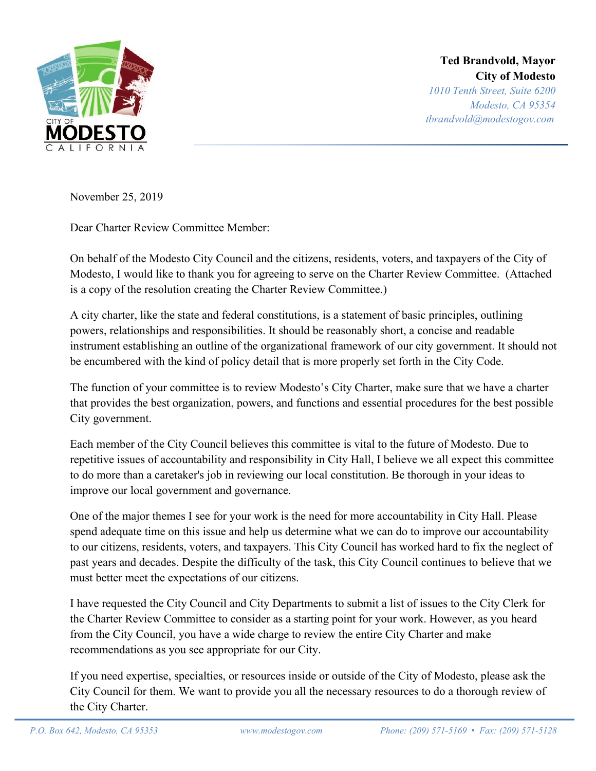

**Ted Brandvold, Mayor City of Modesto**

*1010 Tenth Street, Suite 6200 Modesto, CA 95354 tbrandvold@modestogov.com*

November 25, 2019

Dear Charter Review Committee Member:

On behalf of the Modesto City Council and the citizens, residents, voters, and taxpayers of the City of Modesto, I would like to thank you for agreeing to serve on the Charter Review Committee. (Attached is a copy of the resolution creating the Charter Review Committee.)

A city charter, like the state and federal constitutions, is a statement of basic principles, outlining powers, relationships and responsibilities. It should be reasonably short, a concise and readable instrument establishing an outline of the organizational framework of our city government. It should not be encumbered with the kind of policy detail that is more properly set forth in the City Code.

The function of your committee is to review Modesto's City Charter, make sure that we have a charter that provides the best organization, powers, and functions and essential procedures for the best possible City government.

Each member of the City Council believes this committee is vital to the future of Modesto. Due to repetitive issues of accountability and responsibility in City Hall, I believe we all expect this committee to do more than a caretaker's job in reviewing our local constitution. Be thorough in your ideas to improve our local government and governance.

One of the major themes I see for your work is the need for more accountability in City Hall. Please spend adequate time on this issue and help us determine what we can do to improve our accountability to our citizens, residents, voters, and taxpayers. This City Council has worked hard to fix the neglect of past years and decades. Despite the difficulty of the task, this City Council continues to believe that we must better meet the expectations of our citizens.

I have requested the City Council and City Departments to submit a list of issues to the City Clerk for the Charter Review Committee to consider as a starting point for your work. However, as you heard from the City Council, you have a wide charge to review the entire City Charter and make recommendations as you see appropriate for our City.

If you need expertise, specialties, or resources inside or outside of the City of Modesto, please ask the City Council for them. We want to provide you all the necessary resources to do a thorough review of the City Charter.